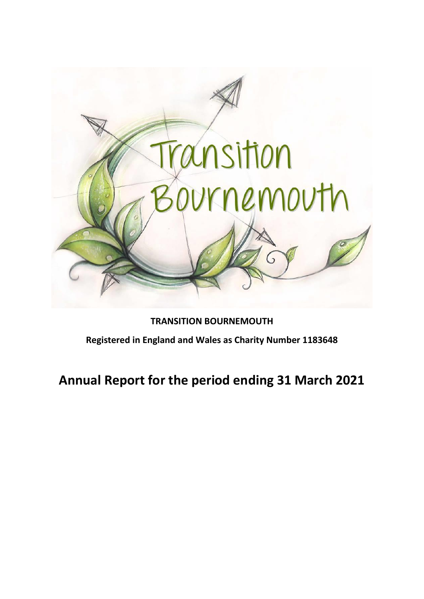

**TRANSITION BOURNEMOUTH Registered in England and Wales as Charity Number 1183648** 

**Annual Report for the period ending 31 March 2021**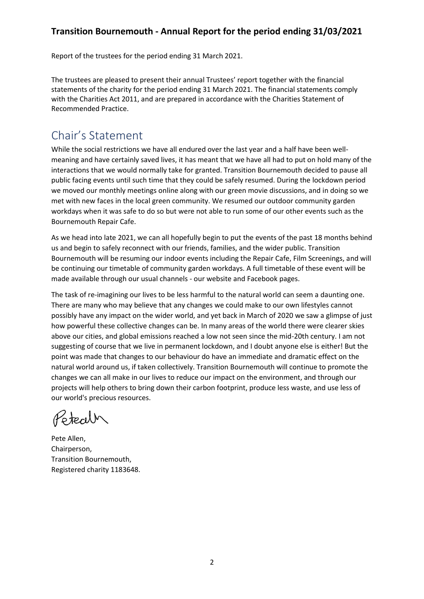Report of the trustees for the period ending 31 March 2021.

The trustees are pleased to present their annual Trustees' report together with the financial statements of the charity for the period ending 31 March 2021. The financial statements comply with the Charities Act 2011, and are prepared in accordance with the Charities Statement of Recommended Practice.

## Chair's Statement

While the social restrictions we have all endured over the last year and a half have been wellmeaning and have certainly saved lives, it has meant that we have all had to put on hold many of the interactions that we would normally take for granted. Transition Bournemouth decided to pause all public facing events until such time that they could be safely resumed. During the lockdown period we moved our monthly meetings online along with our green movie discussions, and in doing so we met with new faces in the local green community. We resumed our outdoor community garden workdays when it was safe to do so but were not able to run some of our other events such as the Bournemouth Repair Cafe.

As we head into late 2021, we can all hopefully begin to put the events of the past 18 months behind us and begin to safely reconnect with our friends, families, and the wider public. Transition Bournemouth will be resuming our indoor events including the Repair Cafe, Film Screenings, and will be continuing our timetable of community garden workdays. A full timetable of these event will be made available through our usual channels - our website and Facebook pages.

The task of re-imagining our lives to be less harmful to the natural world can seem a daunting one. There are many who may believe that any changes we could make to our own lifestyles cannot possibly have any impact on the wider world, and yet back in March of 2020 we saw a glimpse of just how powerful these collective changes can be. In many areas of the world there were clearer skies above our cities, and global emissions reached a low not seen since the mid-20th century. I am not suggesting of course that we live in permanent lockdown, and I doubt anyone else is either! But the point was made that changes to our behaviour do have an immediate and dramatic effect on the natural world around us, if taken collectively. Transition Bournemouth will continue to promote the changes we can all make in our lives to reduce our impact on the environment, and through our projects will help others to bring down their carbon footprint, produce less waste, and use less of our world's precious resources.

Ztech

Pete Allen, Chairperson, Transition Bournemouth, Registered charity 1183648.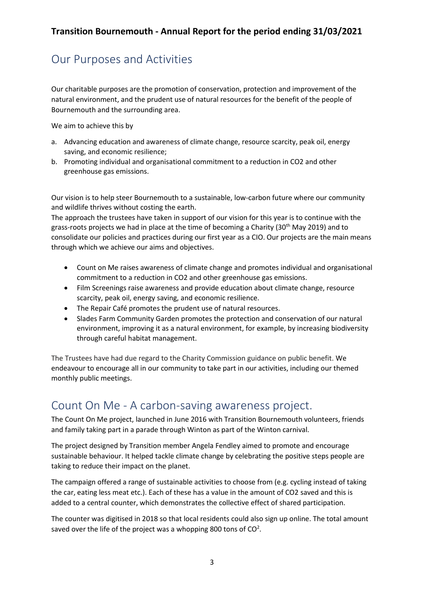# Our Purposes and Activities

Our charitable purposes are the promotion of conservation, protection and improvement of the natural environment, and the prudent use of natural resources for the benefit of the people of Bournemouth and the surrounding area.

We aim to achieve this by

- a. Advancing education and awareness of climate change, resource scarcity, peak oil, energy saving, and economic resilience;
- b. Promoting individual and organisational commitment to a reduction in CO2 and other greenhouse gas emissions.

Our vision is to help steer Bournemouth to a sustainable, low-carbon future where our community and wildlife thrives without costing the earth.

The approach the trustees have taken in support of our vision for this year is to continue with the grass-roots projects we had in place at the time of becoming a Charity (30<sup>th</sup> May 2019) and to consolidate our policies and practices during our first year as a CIO. Our projects are the main means through which we achieve our aims and objectives.

- Count on Me raises awareness of climate change and promotes individual and organisational commitment to a reduction in CO2 and other greenhouse gas emissions.
- Film Screenings raise awareness and provide education about climate change, resource scarcity, peak oil, energy saving, and economic resilience.
- The Repair Café promotes the prudent use of natural resources.
- Slades Farm Community Garden promotes the protection and conservation of our natural environment, improving it as a natural environment, for example, by increasing biodiversity through careful habitat management.

The Trustees have had due regard to the Charity Commission guidance on public benefit. We endeavour to encourage all in our community to take part in our activities, including our themed monthly public meetings.

## Count On Me - A carbon-saving awareness project.

The Count On Me project, launched in June 2016 with Transition Bournemouth volunteers, friends and family taking part in a parade through Winton as part of the Winton carnival.

The project designed by Transition member Angela Fendley aimed to promote and encourage sustainable behaviour. It helped tackle climate change by celebrating the positive steps people are taking to reduce their impact on the planet.

The campaign offered a range of sustainable activities to choose from (e.g. cycling instead of taking the car, eating less meat etc.). Each of these has a value in the amount of CO2 saved and this is added to a central counter, which demonstrates the collective effect of shared participation.

The counter was digitised in 2018 so that local residents could also sign up online. The total amount saved over the life of the project was a whopping 800 tons of  $CO<sup>2</sup>$ .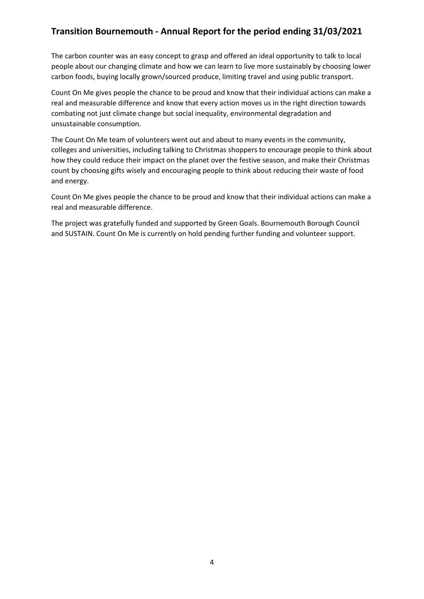The carbon counter was an easy concept to grasp and offered an ideal opportunity to talk to local people about our changing climate and how we can learn to live more sustainably by choosing lower carbon foods, buying locally grown/sourced produce, limiting travel and using public transport.

Count On Me gives people the chance to be proud and know that their individual actions can make a real and measurable difference and know that every action moves us in the right direction towards combating not just climate change but social inequality, environmental degradation and unsustainable consumption.

The Count On Me team of volunteers went out and about to many events in the community, colleges and universities, including talking to Christmas shoppers to encourage people to think about how they could reduce their impact on the planet over the festive season, and make their Christmas count by choosing gifts wisely and encouraging people to think about reducing their waste of food and energy.

Count On Me gives people the chance to be proud and know that their individual actions can make a real and measurable difference.

The project was gratefully funded and supported by Green Goals. Bournemouth Borough Council and SUSTAIN. Count On Me is currently on hold pending further funding and volunteer support.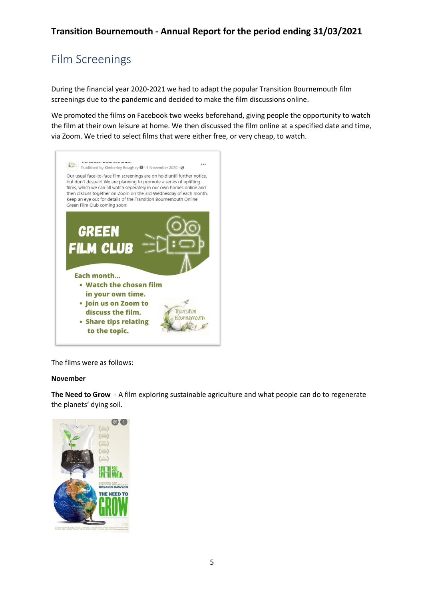# Film Screenings

During the financial year 2020-2021 we had to adapt the popular Transition Bournemouth film screenings due to the pandemic and decided to make the film discussions online.

We promoted the films on Facebook two weeks beforehand, giving people the opportunity to watch the film at their own leisure at home. We then discussed the film online at a specified date and time, via Zoom. We tried to select films that were either free, or very cheap, to watch.



The films were as follows:

#### **November**

**The Need to Grow** - A film exploring sustainable agriculture and what people can do to regenerate the planets' dying soil.

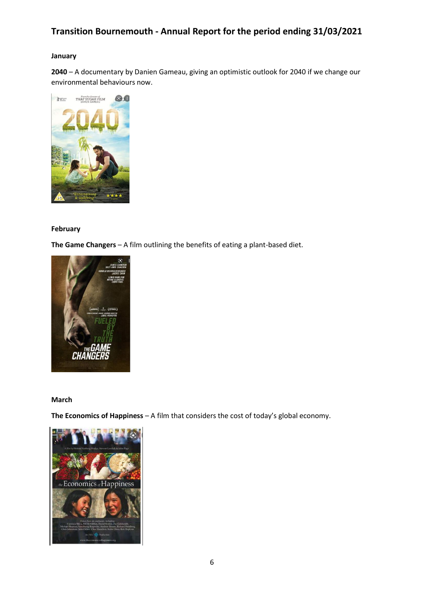#### **January**

**2040** – A documentary by Danien Gameau, giving an optimistic outlook for 2040 if we change our environmental behaviours now.



#### **February**

**The Game Changers** – A film outlining the benefits of eating a plant-based diet.



#### **March**

**The Economics of Happiness** – A film that considers the cost of today's global economy.

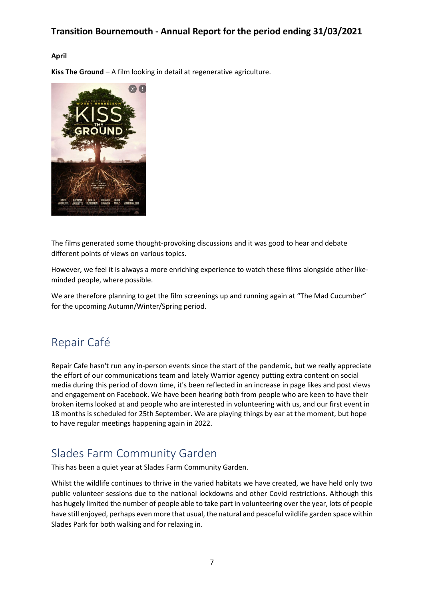#### **April**

**Kiss The Ground** – A film looking in detail at regenerative agriculture.



The films generated some thought-provoking discussions and it was good to hear and debate different points of views on various topics.

However, we feel it is always a more enriching experience to watch these films alongside other likeminded people, where possible.

We are therefore planning to get the film screenings up and running again at "The Mad Cucumber" for the upcoming Autumn/Winter/Spring period.

## Repair Café

Repair Cafe hasn't run any in-person events since the start of the pandemic, but we really appreciate the effort of our communications team and lately Warrior agency putting extra content on social media during this period of down time, it's been reflected in an increase in page likes and post views and engagement on Facebook. We have been hearing both from people who are keen to have their broken items looked at and people who are interested in volunteering with us, and our first event in 18 months is scheduled for 25th September. We are playing things by ear at the moment, but hope to have regular meetings happening again in 2022.

## Slades Farm Community Garden

This has been a quiet year at Slades Farm Community Garden.

Whilst the wildlife continues to thrive in the varied habitats we have created, we have held only two public volunteer sessions due to the national lockdowns and other Covid restrictions. Although this has hugely limited the number of people able to take part in volunteering over the year, lots of people have still enjoyed, perhaps even more that usual, the natural and peaceful wildlife garden space within Slades Park for both walking and for relaxing in.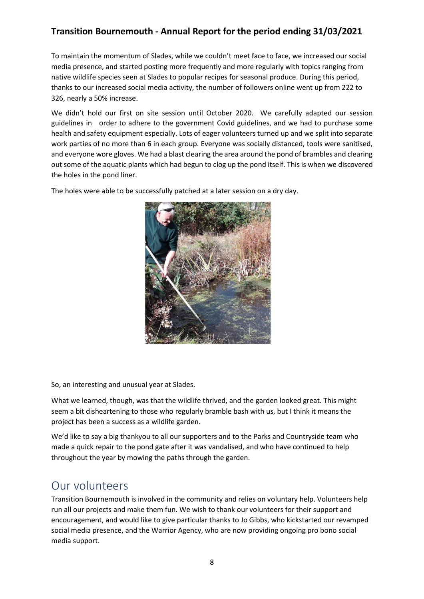To maintain the momentum of Slades, while we couldn't meet face to face, we increased our social media presence, and started posting more frequently and more regularly with topics ranging from native wildlife species seen at Slades to popular recipes for seasonal produce. During this period, thanks to our increased social media activity, the number of followers online went up from 222 to 326, nearly a 50% increase.

We didn't hold our first on site session until October 2020. We carefully adapted our session guidelines in order to adhere to the government Covid guidelines, and we had to purchase some health and safety equipment especially. Lots of eager volunteers turned up and we split into separate work parties of no more than 6 in each group. Everyone was socially distanced, tools were sanitised, and everyone wore gloves. We had a blast clearing the area around the pond of brambles and clearing out some of the aquatic plants which had begun to clog up the pond itself. This is when we discovered the holes in the pond liner.

The holes were able to be successfully patched at a later session on a dry day.



So, an interesting and unusual year at Slades.

What we learned, though, was that the wildlife thrived, and the garden looked great. This might seem a bit disheartening to those who regularly bramble bash with us, but I think it means the project has been a success as a wildlife garden.

We'd like to say a big thankyou to all our supporters and to the Parks and Countryside team who made a quick repair to the pond gate after it was vandalised, and who have continued to help throughout the year by mowing the paths through the garden.

## Our volunteers

Transition Bournemouth is involved in the community and relies on voluntary help. Volunteers help run all our projects and make them fun. We wish to thank our volunteers for their support and encouragement, and would like to give particular thanks to Jo Gibbs, who kickstarted our revamped social media presence, and the Warrior Agency, who are now providing ongoing pro bono social media support.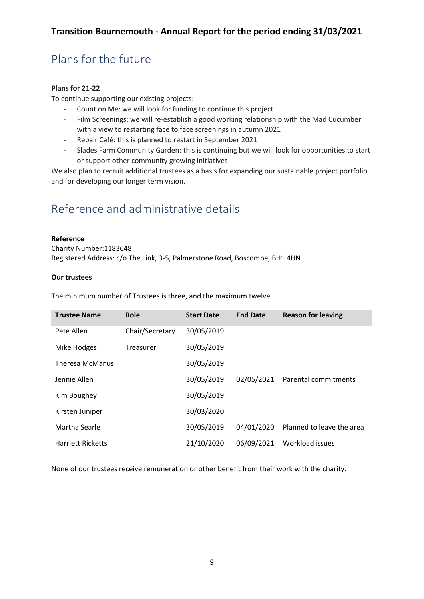# Plans for the future

#### **Plans for 21-22**

To continue supporting our existing projects:

- Count on Me: we will look for funding to continue this project
- Film Screenings: we will re-establish a good working relationship with the Mad Cucumber with a view to restarting face to face screenings in autumn 2021
- Repair Café: this is planned to restart in September 2021
- Slades Farm Community Garden: this is continuing but we will look for opportunities to start or support other community growing initiatives

We also plan to recruit additional trustees as a basis for expanding our sustainable project portfolio and for developing our longer term vision.

# Reference and administrative details

#### **Reference**

Charity Number:1183648 Registered Address: c/o The Link, 3-5, Palmerstone Road, Boscombe, BH1 4HN

#### **Our trustees**

**Trustee Name Role Start Date End Date Reason for leaving** Pete Allen Chair/Secretary 30/05/2019 Mike Hodges Treasurer 30/05/2019 Theresa McManus 30/05/2019 Jennie Allen 30/05/2019 02/05/2021 Parental commitments Kim Boughey 30/05/2019 Kirsten Juniper 30/03/2020 Martha Searle 30/05/2019 04/01/2020 Planned to leave the area Harriett Ricketts 21/10/2020 06/09/2021 Workload issues

The minimum number of Trustees is three, and the maximum twelve.

None of our trustees receive remuneration or other benefit from their work with the charity.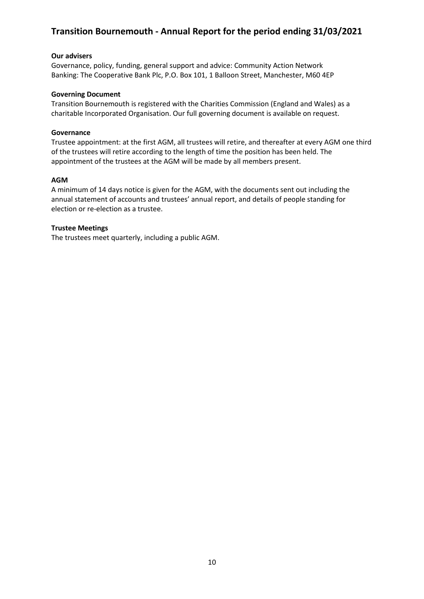#### **Our advisers**

Governance, policy, funding, general support and advice: [Community Action Network](https://www.can100.org/) Banking: The Cooperative Bank Plc, P.O. Box 101, 1 Balloon Street, Manchester, M60 4EP

#### **Governing Document**

Transition Bournemouth is registered with the Charities Commission (England and Wales) as a charitable Incorporated Organisation. Our full governing document is available on request.

#### **Governance**

Trustee appointment: at the first AGM, all trustees will retire, and thereafter at every AGM one third of the trustees will retire according to the length of time the position has been held. The appointment of the trustees at the AGM will be made by all members present.

#### **AGM**

A minimum of 14 days notice is given for the AGM, with the documents sent out including the annual statement of accounts and trustees' annual report, and details of people standing for election or re-election as a trustee.

#### **Trustee Meetings**

The trustees meet quarterly, including a public AGM.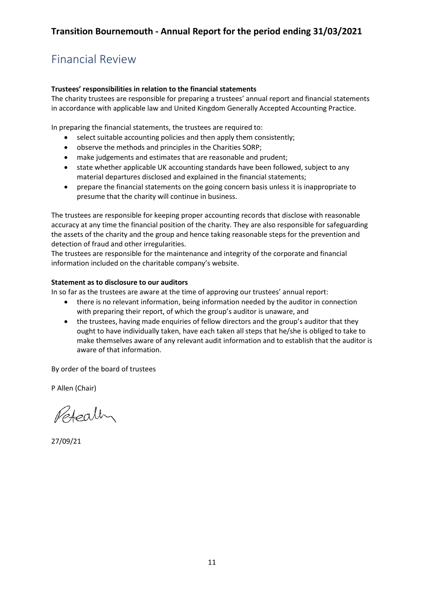# Financial Review

#### **Trustees' responsibilities in relation to the financial statements**

The charity trustees are responsible for preparing a trustees' annual report and financial statements in accordance with applicable law and United Kingdom Generally Accepted Accounting Practice.

In preparing the financial statements, the trustees are required to:

- select suitable accounting policies and then apply them consistently;
- observe the methods and principles in the Charities SORP;
- make judgements and estimates that are reasonable and prudent;
- state whether applicable UK accounting standards have been followed, subject to any material departures disclosed and explained in the financial statements;
- prepare the financial statements on the going concern basis unless it is inappropriate to presume that the charity will continue in business.

The trustees are responsible for keeping proper accounting records that disclose with reasonable accuracy at any time the financial position of the charity. They are also responsible for safeguarding the assets of the charity and the group and hence taking reasonable steps for the prevention and detection of fraud and other irregularities.

The trustees are responsible for the maintenance and integrity of the corporate and financial information included on the charitable company's website.

#### **Statement as to disclosure to our auditors**

In so far as the trustees are aware at the time of approving our trustees' annual report:

- there is no relevant information, being information needed by the auditor in connection with preparing their report, of which the group's auditor is unaware, and
- the trustees, having made enquiries of fellow directors and the group's auditor that they ought to have individually taken, have each taken all steps that he/she is obliged to take to make themselves aware of any relevant audit information and to establish that the auditor is aware of that information.

By order of the board of trustees

P Allen (Chair)

Peteally

27/09/21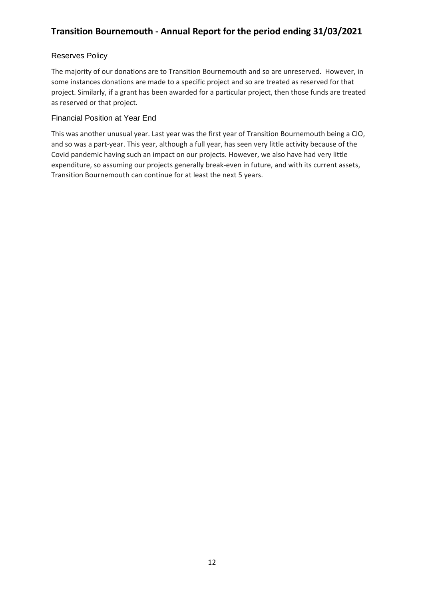#### Reserves Policy

The majority of our donations are to Transition Bournemouth and so are unreserved. However, in some instances donations are made to a specific project and so are treated as reserved for that project. Similarly, if a grant has been awarded for a particular project, then those funds are treated as reserved or that project.

#### Financial Position at Year End

This was another unusual year. Last year was the first year of Transition Bournemouth being a CIO, and so was a part-year. This year, although a full year, has seen very little activity because of the Covid pandemic having such an impact on our projects. However, we also have had very little expenditure, so assuming our projects generally break-even in future, and with its current assets, Transition Bournemouth can continue for at least the next 5 years.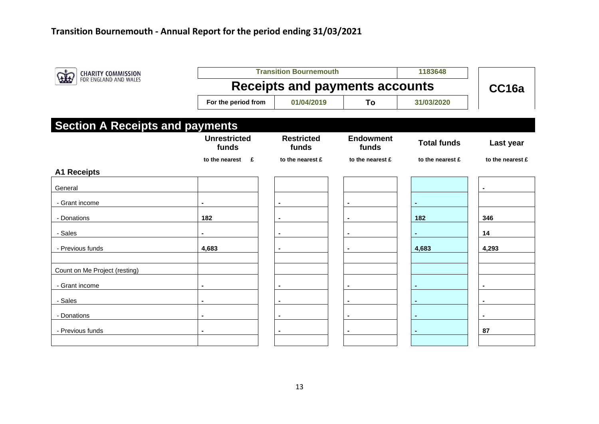| <b>CHARITY COMMISSION</b>              |                                       | <b>Transition Bournemouth</b> | 1183648                   |                    |                  |
|----------------------------------------|---------------------------------------|-------------------------------|---------------------------|--------------------|------------------|
| FOR ENGLAND AND WALES                  | <b>Receipts and payments accounts</b> | CC16a                         |                           |                    |                  |
|                                        | For the period from                   | 01/04/2019                    | To                        | 31/03/2020         |                  |
| <b>Section A Receipts and payments</b> |                                       |                               |                           |                    |                  |
|                                        | <b>Unrestricted</b><br>funds          | <b>Restricted</b><br>funds    | <b>Endowment</b><br>funds | <b>Total funds</b> | Last year        |
|                                        | to the nearest<br>E                   | to the nearest £              | to the nearest £          | to the nearest £   | to the nearest £ |
| <b>A1 Receipts</b>                     |                                       |                               |                           |                    |                  |
| General                                |                                       |                               |                           |                    |                  |
| - Grant income                         |                                       |                               |                           |                    |                  |
| - Donations                            | 182                                   |                               |                           | 182                | 346              |
| - Sales                                |                                       |                               |                           |                    | 14               |
| - Previous funds                       | 4,683                                 | $\blacksquare$                |                           | 4,683              | 4,293            |
|                                        |                                       |                               |                           |                    |                  |
| Count on Me Project (resting)          |                                       |                               |                           |                    |                  |
| - Grant income                         |                                       |                               |                           |                    |                  |
| - Sales                                |                                       | $\blacksquare$                |                           |                    |                  |
| - Donations                            |                                       |                               |                           |                    |                  |
| - Previous funds                       | $\blacksquare$                        | $\blacksquare$                |                           |                    | 87               |
|                                        |                                       |                               |                           |                    |                  |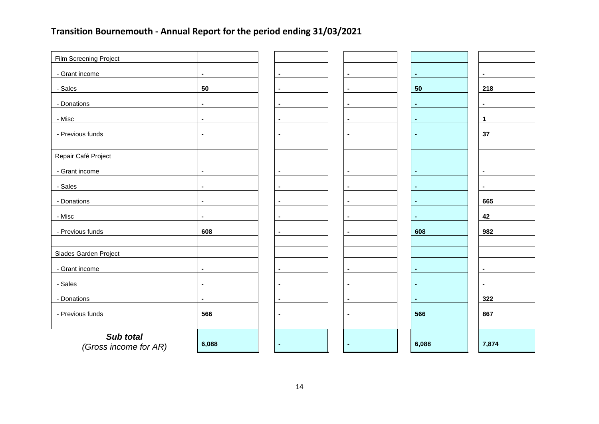| Film Screening Project             |                |                |                |                |                |
|------------------------------------|----------------|----------------|----------------|----------------|----------------|
| - Grant income                     | $\blacksquare$ | $\blacksquare$ | $\blacksquare$ | $\blacksquare$ | $\blacksquare$ |
| - Sales                            | 50             | $\blacksquare$ | $\blacksquare$ | 50             | 218            |
| - Donations                        | $\blacksquare$ | $\blacksquare$ | $\blacksquare$ | $\blacksquare$ | $\blacksquare$ |
| - Misc                             | $\blacksquare$ | $\blacksquare$ |                | $\blacksquare$ | $\mathbf{1}$   |
| - Previous funds                   | $\blacksquare$ | $\blacksquare$ | $\blacksquare$ | $\blacksquare$ | 37             |
|                                    |                |                |                |                |                |
| Repair Café Project                |                |                |                |                |                |
| - Grant income                     | $\blacksquare$ | $\blacksquare$ |                | $\blacksquare$ |                |
| - Sales                            | $\blacksquare$ | $\blacksquare$ |                |                |                |
| - Donations                        | $\blacksquare$ | $\blacksquare$ |                | $\blacksquare$ | 665            |
| - Misc                             | $\blacksquare$ | $\blacksquare$ |                | $\blacksquare$ | 42             |
| - Previous funds                   | 608            | $\blacksquare$ |                | 608            | 982            |
| Slades Garden Project              |                |                |                |                |                |
|                                    |                |                |                |                |                |
| - Grant income                     | $\blacksquare$ | $\blacksquare$ | $\blacksquare$ | $\sim$         | $\blacksquare$ |
| - Sales                            | $\blacksquare$ | $\blacksquare$ |                | $\blacksquare$ |                |
| - Donations                        | $\blacksquare$ | $\blacksquare$ |                | $\blacksquare$ | 322            |
| - Previous funds                   | 566            | $\blacksquare$ | $\blacksquare$ | 566            | 867            |
|                                    |                |                |                |                |                |
| Sub total<br>(Gross income for AR) | 6,088          |                |                | 6,088          | 7,874          |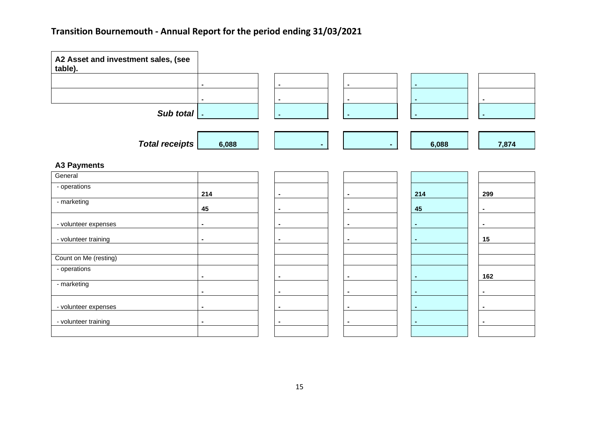| A2 Asset and investment sales, (see |                |                |                |                |
|-------------------------------------|----------------|----------------|----------------|----------------|
| table).                             |                |                |                |                |
|                                     |                |                |                |                |
|                                     |                |                |                |                |
|                                     |                | $\blacksquare$ | $\blacksquare$ | $\blacksquare$ |
| Sub total   .                       |                |                |                |                |
|                                     |                |                |                |                |
|                                     |                |                |                |                |
| <b>Total receipts</b>               | 6,088          |                | 6,088          |                |
|                                     |                |                |                |                |
| <b>A3 Payments</b>                  |                |                |                |                |
| General                             |                |                |                |                |
| - operations                        |                |                |                |                |
|                                     | 214            |                | 214            | 299            |
| - marketing                         | 45             |                | 45             |                |
|                                     |                |                |                |                |
| - volunteer expenses                | $\blacksquare$ |                |                |                |
| - volunteer training                | $\blacksquare$ |                |                | 15             |
|                                     |                |                |                |                |
| Count on Me (resting)               |                |                |                |                |
| - operations                        |                |                |                |                |
|                                     | $\blacksquare$ | $\overline{a}$ | $\blacksquare$ | 162            |
| - marketing                         |                | $\blacksquare$ |                | $\blacksquare$ |
|                                     |                |                |                |                |
| - volunteer expenses                |                | $\blacksquare$ | $\blacksquare$ | $\blacksquare$ |
| - volunteer training                | $\blacksquare$ |                |                |                |
|                                     |                |                |                |                |
|                                     |                |                |                |                |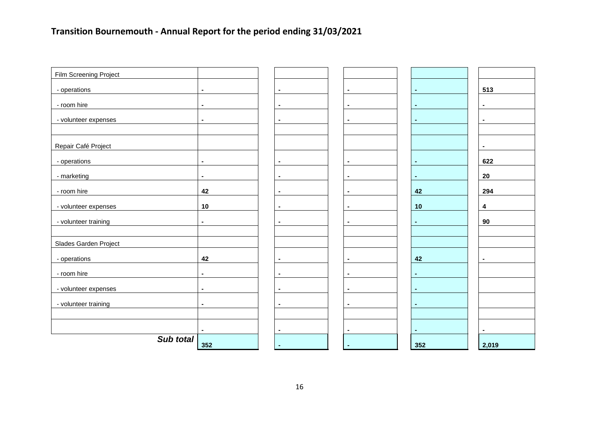| Film Screening Project |                |                |                |                |                |
|------------------------|----------------|----------------|----------------|----------------|----------------|
| - operations           | $\blacksquare$ | $\blacksquare$ | $\blacksquare$ | $\sim$         | 513            |
|                        |                |                |                |                |                |
| - room hire            | $\blacksquare$ | $\blacksquare$ |                | $\sim$         | $\blacksquare$ |
| - volunteer expenses   | $\blacksquare$ | $\blacksquare$ |                | $\sim$         | $\blacksquare$ |
|                        |                |                |                |                |                |
| Repair Café Project    |                |                |                |                | $\blacksquare$ |
| - operations           | $\blacksquare$ | $\blacksquare$ |                | $\sim$         | 622            |
| - marketing            | $\blacksquare$ | $\blacksquare$ |                | $\sim$         | 20             |
| - room hire            | 42             |                |                | 42             | 294            |
| - volunteer expenses   | 10             | $\blacksquare$ |                | 10             | 4              |
| - volunteer training   | $\blacksquare$ | $\blacksquare$ |                | $\blacksquare$ | 90             |
|                        |                |                |                |                |                |
| Slades Garden Project  |                |                |                |                |                |
| - operations           | 42             |                |                | 42             |                |
| - room hire            | $\blacksquare$ | $\blacksquare$ |                | $\sim$         |                |
| - volunteer expenses   | $\blacksquare$ | $\blacksquare$ |                | $\blacksquare$ |                |
| - volunteer training   | $\blacksquare$ | $\blacksquare$ |                | $\blacksquare$ |                |
|                        |                |                |                |                |                |
|                        | $\blacksquare$ |                |                | $\blacksquare$ |                |
| Sub total              | 352            |                |                | 352            | 2,019          |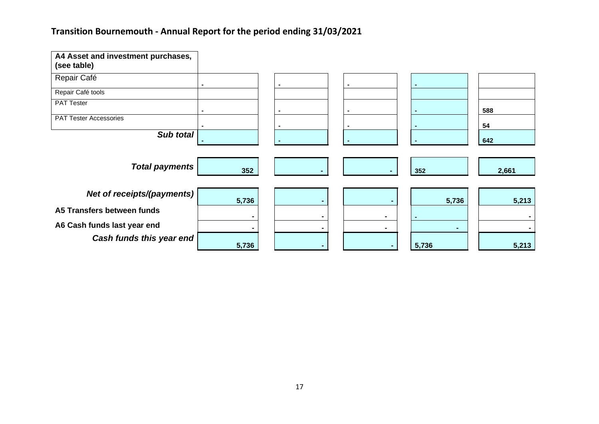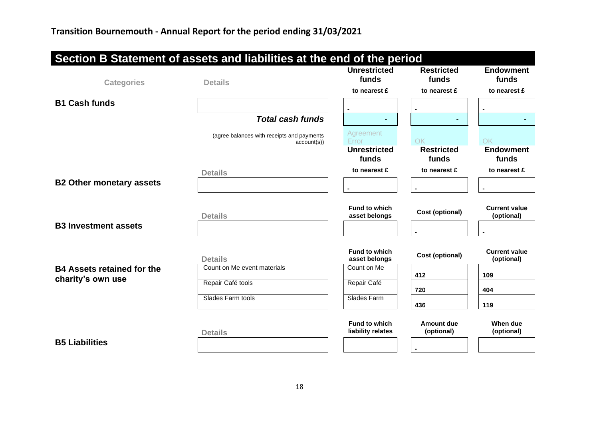| Section B Statement of assets and liabilities at the end of the period |                                                          |                                                    |                                  |                                    |
|------------------------------------------------------------------------|----------------------------------------------------------|----------------------------------------------------|----------------------------------|------------------------------------|
| <b>Categories</b>                                                      | <b>Details</b>                                           | <b>Unrestricted</b><br>funds                       | <b>Restricted</b><br>funds       | <b>Endowment</b><br>funds          |
|                                                                        |                                                          | to nearest £                                       | to nearest £                     | to nearest £                       |
| <b>B1 Cash funds</b>                                                   |                                                          |                                                    |                                  |                                    |
|                                                                        | <b>Total cash funds</b>                                  |                                                    |                                  |                                    |
|                                                                        | (agree balances with receipts and payments<br>account(s) | Agreement<br>Error<br><b>Unrestricted</b><br>funds | OK<br><b>Restricted</b><br>funds | OK<br><b>Endowment</b><br>funds    |
|                                                                        | <b>Details</b>                                           | to nearest £                                       | to nearest £                     | to nearest £                       |
| <b>B2 Other monetary assets</b>                                        |                                                          |                                                    |                                  |                                    |
| <b>B3 Investment assets</b>                                            | <b>Details</b>                                           | <b>Fund to which</b><br>asset belongs              | Cost (optional)                  | <b>Current value</b><br>(optional) |
|                                                                        | <b>Details</b>                                           | <b>Fund to which</b><br>asset belongs              | <b>Cost (optional)</b>           | <b>Current value</b><br>(optional) |
| <b>B4 Assets retained for the</b>                                      | Count on Me event materials                              | Count on Me                                        | 412                              | 109                                |
| charity's own use                                                      | Repair Café tools                                        | Repair Café                                        | 720                              | 404                                |
|                                                                        | Slades Farm tools                                        | Slades Farm                                        | 436                              | 119                                |
|                                                                        | <b>Details</b>                                           | <b>Fund to which</b><br>liability relates          | Amount due<br>(optional)         | When due<br>(optional)             |
| <b>B5 Liabilities</b>                                                  |                                                          |                                                    |                                  |                                    |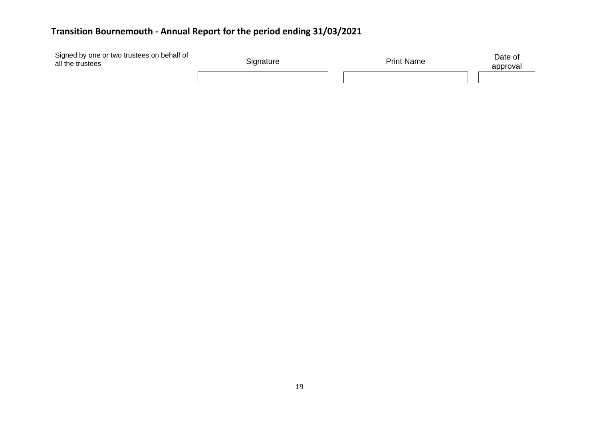| Signed by one or two trustees on behalf of<br>all the trustees | Signature | <b>Print Name</b> | Date of<br>approval |
|----------------------------------------------------------------|-----------|-------------------|---------------------|
|                                                                |           |                   |                     |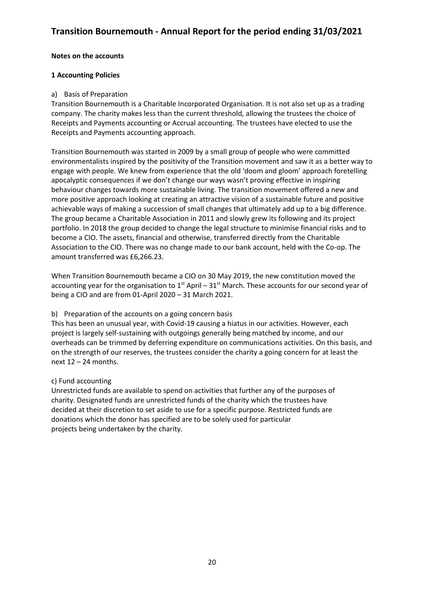#### **Notes on the accounts**

#### **1 Accounting Policies**

#### a) Basis of Preparation

Transition Bournemouth is a Charitable Incorporated Organisation. It is not also set up as a trading company. The charity makes less than the current threshold, allowing the trustees the choice of Receipts and Payments accounting or Accrual accounting. The trustees have elected to use the Receipts and Payments accounting approach.

Transition Bournemouth was started in 2009 by a small group of people who were committed environmentalists inspired by the positivity of the Transition movement and saw it as a better way to engage with people. We knew from experience that the old 'doom and gloom' approach foretelling apocalyptic consequences if we don't change our ways wasn't proving effective in inspiring behaviour changes towards more sustainable living. The transition movement offered a new and more positive approach looking at creating an attractive vision of a sustainable future and positive achievable ways of making a succession of small changes that ultimately add up to a big difference. The group became a Charitable Association in 2011 and slowly grew its following and its project portfolio. In 2018 the group decided to change the legal structure to minimise financial risks and to become a CIO. The assets, financial and otherwise, transferred directly from the Charitable Association to the CIO. There was no change made to our bank account, held with the Co-op. The amount transferred was £6,266.23.

When Transition Bournemouth became a CIO on 30 May 2019, the new constitution moved the accounting year for the organisation to  $1<sup>st</sup>$  April – 31<sup>st</sup> March. These accounts for our second year of being a CIO and are from 01-April 2020 – 31 March 2021.

#### b) Preparation of the accounts on a going concern basis

This has been an unusual year, with Covid-19 causing a hiatus in our activities. However, each project is largely self-sustaining with outgoings generally being matched by income, and our overheads can be trimmed by deferring expenditure on communications activities. On this basis, and on the strength of our reserves, the trustees consider the charity a going concern for at least the next  $12 - 24$  months.

#### c) Fund accounting

Unrestricted funds are available to spend on activities that further any of the purposes of charity. Designated funds are unrestricted funds of the charity which the trustees have decided at their discretion to set aside to use for a specific purpose. Restricted funds are donations which the donor has specified are to be solely used for particular projects being undertaken by the charity.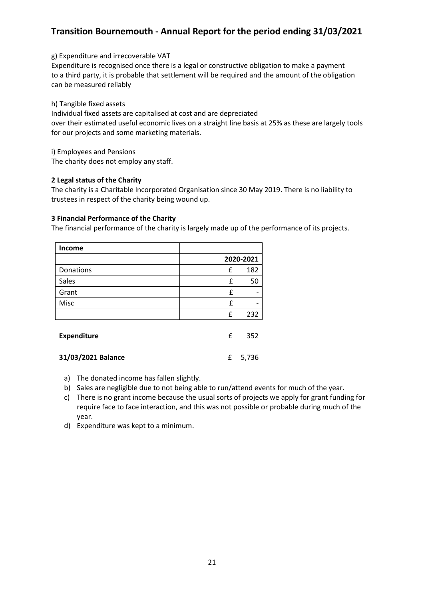g) Expenditure and irrecoverable VAT

Expenditure is recognised once there is a legal or constructive obligation to make a payment to a third party, it is probable that settlement will be required and the amount of the obligation can be measured reliably

h) Tangible fixed assets

Individual fixed assets are capitalised at cost and are depreciated over their estimated useful economic lives on a straight line basis at 25% as these are largely tools for our projects and some marketing materials.

i) Employees and Pensions The charity does not employ any staff.

#### **2 Legal status of the Charity**

The charity is a Charitable Incorporated Organisation since 30 May 2019. There is no liability to trustees in respect of the charity being wound up.

#### **3 Financial Performance of the Charity**

The financial performance of the charity is largely made up of the performance of its projects.

| <b>Income</b>      |           |     |
|--------------------|-----------|-----|
|                    | 2020-2021 |     |
| Donations          | £         | 182 |
| Sales              | £         | 50  |
| Grant              | £         |     |
| Misc               | £         |     |
|                    | £         | 232 |
| <b>Expenditure</b> | £         | 352 |

**31/03/2021 Balance** £ 5,736

- a) The donated income has fallen slightly.
- b) Sales are negligible due to not being able to run/attend events for much of the year.
- c) There is no grant income because the usual sorts of projects we apply for grant funding for require face to face interaction, and this was not possible or probable during much of the year.
- d) Expenditure was kept to a minimum.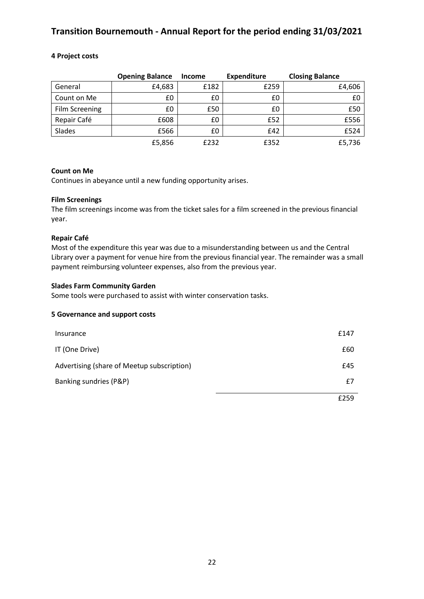#### **4 Project costs**

|                | <b>Opening Balance</b> | <b>Income</b> | <b>Expenditure</b> | <b>Closing Balance</b> |
|----------------|------------------------|---------------|--------------------|------------------------|
| General        | £4,683                 | £182          | £259               | £4,606                 |
| Count on Me    | £0                     | £0            | £0                 | £0                     |
| Film Screening | £0                     | £50           | £0                 | £50                    |
| Repair Café    | £608                   | £0            | £52                | £556                   |
| Slades         | £566                   | £0            | £42                | £524                   |
|                | £5,856                 | £232          | £352               | £5,736                 |

#### **Count on Me**

Continues in abeyance until a new funding opportunity arises.

#### **Film Screenings**

The film screenings income was from the ticket sales for a film screened in the previous financial year.

#### **Repair Café**

Most of the expenditure this year was due to a misunderstanding between us and the Central Library over a payment for venue hire from the previous financial year. The remainder was a small payment reimbursing volunteer expenses, also from the previous year.

#### **Slades Farm Community Garden**

Some tools were purchased to assist with winter conservation tasks.

#### **5 Governance and support costs**

| Insurance                                  | £147 |
|--------------------------------------------|------|
| IT (One Drive)                             | £60  |
| Advertising (share of Meetup subscription) | £45  |
| Banking sundries (P&P)                     | £7   |
|                                            | £259 |